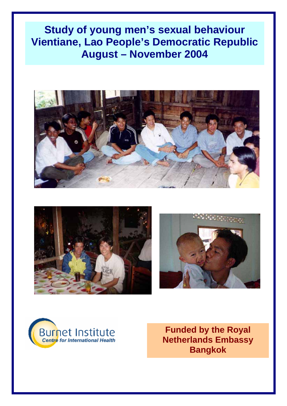# **Study of young men's sexual behaviour Vientiane, Lao People's Democratic Republic August – November 2004**









**Funded by the Royal Netherlands Embassy Bangkok**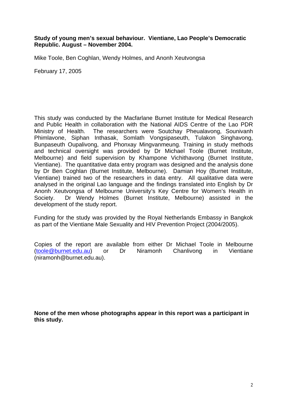**Study of young men's sexual behaviour. Vientiane, Lao People's Democratic Republic. August – November 2004.** 

Mike Toole, Ben Coghlan, Wendy Holmes, and Anonh Xeutvongsa

February 17, 2005

This study was conducted by the Macfarlane Burnet Institute for Medical Research and Public Health in collaboration with the National AIDS Centre of the Lao PDR Ministry of Health. The researchers were Soutchay Pheualavong, Sounivanh Phimlavone, Siphan Inthasak, Somlath Vongsipaseuth, Tulakon Singhavong, Bunpaseuth Oupalivong, and Phonxay Mingvanmeung. Training in study methods and technical oversight was provided by Dr Michael Toole (Burnet Institute, Melbourne) and field supervision by Khampone Vichithavong (Burnet Institute, Vientiane). The quantitative data entry program was designed and the analysis done by Dr Ben Coghlan (Burnet Institute, Melbourne). Damian Hoy (Burnet Institute, Vientiane) trained two of the researchers in data entry. All qualitative data were analysed in the original Lao language and the findings translated into English by Dr Anonh Xeutvongsa of Melbourne University's Key Centre for Women's Health in Society. Dr Wendy Holmes (Burnet Institute, Melbourne) assisted in the development of the study report.

Funding for the study was provided by the Royal Netherlands Embassy in Bangkok as part of the Vientiane Male Sexuality and HIV Prevention Project (2004/2005).

Copies of the report are available from either Dr Michael Toole in Melbourne (toole@burnet.edu.au) or Dr Niramonh Chanlivong in Vientiane (niramonh@burnet.edu.au).

**None of the men whose photographs appear in this report was a participant in this study.**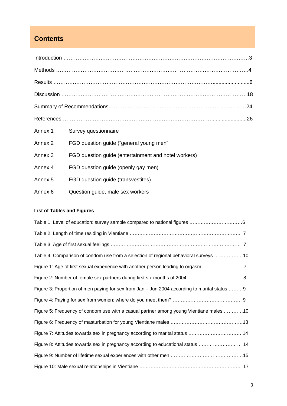# **Contents**

| Annex 1            | Survey questionnaire                                 |  |
|--------------------|------------------------------------------------------|--|
| Annex <sub>2</sub> | FGD question guide ("general young men"              |  |
| Annex 3            | FGD question guide (entertainment and hotel workers) |  |
| Annex 4            | FGD question guide (openly gay men)                  |  |
| Annex <sub>5</sub> | FGD question guide (transvestites)                   |  |
| Annex 6            | Question guide, male sex workers                     |  |
|                    |                                                      |  |

# **List of Tables and Figures**

| Table 4: Comparison of condom use from a selection of regional behavioral surveys 10         |  |
|----------------------------------------------------------------------------------------------|--|
|                                                                                              |  |
|                                                                                              |  |
| Figure 3: Proportion of men paying for sex from Jan – Jun 2004 according to marital status 9 |  |
|                                                                                              |  |
| Figure 5: Frequency of condom use with a casual partner among young Vientiane males 10       |  |
|                                                                                              |  |
| Figure 7: Attitudes towards sex in pregnancy according to marital status  14                 |  |
| Figure 8: Attitudes towards sex in pregnancy according to educational status  14             |  |
|                                                                                              |  |
|                                                                                              |  |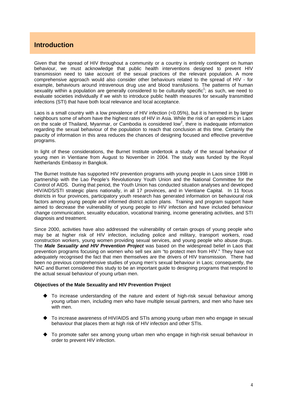## **Introduction**

Given that the spread of HIV throughout a community or a country is entirely contingent on human behaviour, we must acknowledge that public health interventions designed to prevent HIV transmission need to take account of the sexual practices of the relevant population. A more comprehensive approach would also consider other behaviours related to the spread of HIV - for example, behaviours around intravenous drug use and blood transfusions. The patterns of human sexuality within a population are generally considered to be culturally specific<sup>1</sup>; as such, we need to evaluate societies individually if we wish to introduce public health measures for sexually transmitted infections (STI) that have both local relevance and local acceptance.

Laos is a small country with a low prevalence of HIV infection (<0.05%), but it is hemmed in by larger neighbours some of whom have the highest rates of HIV in Asia. While the risk of an epidemic in Laos on the scale of Thailand, Myanmar, or Cambodia is considered low<sup>2</sup>, there is inadequate information regarding the sexual behaviour of the population to reach that conclusion at this time. Certainly the paucity of information in this area reduces the chances of designing focused and effective preventive programs.

In light of these considerations, the Burnet Institute undertook a study of the sexual behaviour of young men in Vientiane from August to November in 2004. The study was funded by the Royal Netherlands Embassy in Bangkok.

The Burnet Institute has supported HIV prevention programs with young people in Laos since 1998 in partnership with the Lao People's Revolutionary Youth Union and the National Committee for the Control of AIDS. During that period, the Youth Union has conducted situation analyses and developed HIV/AIDS/STI strategic plans nationally, in all 17 provinces, and in Vientiane Capital. In 11 focus districts in four provinces, participatory youth research has generated information on behavioural risk factors among young people and informed district action plans. Training and program support have aimed to decrease the vulnerability of young people to HIV infection and have included behaviour change communication, sexuality education, vocational training, income generating activities, and STI diagnosis and treatment.

Since 2000, activities have also addressed the vulnerability of certain groups of young people who may be at higher risk of HIV infection, including police and military, transport workers, road construction workers, young women providing sexual services, and young people who abuse drugs. The *Male Sexuality and HIV Prevention Project* was based on the widespread belief in Laos that prevention programs focusing on women who sell sex aim "to protect men from HIV." They have not adequately recognised the fact that men themselves are the drivers of HIV transmission. There had been no previous comprehensive studies of young men's sexual behaviour in Laos; consequently, the NAC and Burnet considered this study to be an important guide to designing programs that respond to the actual sexual behaviour of young urban men.

#### **Objectives of the Male Sexuality and HIV Prevention Project**

- To increase understanding of the nature and extent of high-risk sexual behaviour among young urban men, including men who have multiple sexual partners, and men who have sex with men.
- To increase awareness of HIV/AIDS and STIs among young urban men who engage in sexual behaviour that places them at high risk of HIV infection and other STIs.
- To promote safer sex among young urban men who engage in high-risk sexual behaviour in order to prevent HIV infection.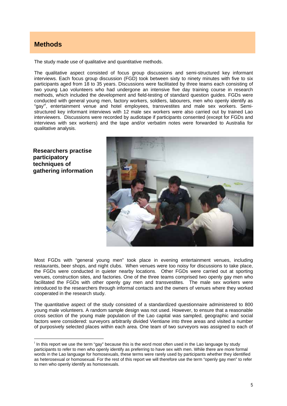# **Methods**

The study made use of qualitative and quantitative methods.

The qualitative aspect consisted of focus group discussions and semi-structured key informant interviews. Each focus group discussion (FGD) took between sixty to ninety minutes with five to six participants aged from 18 to 35 years. Discussions were facilitated by three teams each consisting of two young Lao volunteers who had undergone an intensive five day training course in research methods, which included the development and field-testing of standard question guides. FGDs were conducted with general young men, factory workers, soldiers, labourers, men who openly identify as "gay"i , entertainment venue and hotel employees, transvestites and male sex workers. Semistructured key informant interviews with 12 male sex workers were also carried out by trained Lao interviewers. Discussions were recorded by audiotape if participants consented (except for FGDs and interviews with sex workers) and the tape and/or verbatim notes were forwarded to Australia for qualitative analysis.

**Researchers practise participatory techniques of gathering information** 

 $\overline{a}$ 



Most FGDs with "general young men" took place in evening entertainment venues, including restaurants, beer shops, and night clubs. When venues were too noisy for discussions to take place, the FGDs were conducted in quieter nearby locations. Other FGDs were carried out at sporting venues, construction sites, and factories. One of the three teams comprised two openly gay men who facilitated the FGDs with other openly gay men and transvestites. The male sex workers were introduced to the researchers through informal contacts and the owners of venues where they worked cooperated in the research study.

The quantitative aspect of the study consisted of a standardized questionnaire administered to 800 young male volunteers. A random sample design was not used. However, to ensure that a reasonable cross section of the young male population of the Lao capital was sampled, geographic and social factors were considered: surveyors arbitrarily divided Vientiane into three areas and visited a number of purposively selected places within each area. One team of two surveyors was assigned to each of

<sup>&</sup>lt;sup>i</sup> In this report we use the term "gay" because this is the word most often used in the Lao language by study participants to refer to men who openly identify as preferring to have sex with men. While there are more formal words in the Lao language for homosexuals, these terms were rarely used by participants whether they identified as heterosexual or homosexual. For the rest of this report we will therefore use the term "openly gay men" to refer to men who openly identify as homosexuals.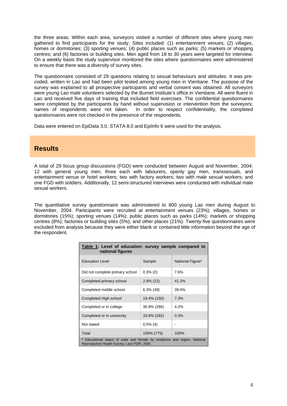the three areas. Within each area, surveyors visited a number of different sites where young men gathered to find participants for the study. Sites included: (1) entertainment venues; (2) villages, homes or dormitories; (3) sporting venues; (4) public places such as parks; (5) markets or shopping centres; and (6) factories or building sites. Men aged from 18 to 30 years were targeted for interview. On a weekly basis the study supervisor monitored the sites where questionnaires were administered to ensure that there was a diversity of survey sites.

The questionnaire consisted of 29 questions relating to sexual behaviours and attitudes. It was precoded, written in Lao and had been pilot tested among young men in Vientiane. The purpose of the survey was explained to all prospective participants and verbal consent was obtained. All surveyors were young Lao male volunteers selected by the Burnet Institute's office in Vientiane. All were fluent in Lao and received five days of training that included field exercises. The confidential questionnaires were completed by the participants by hand without supervision or intervention from the surveyors; names of respondents were not taken. In order to respect confidentiality, the completed questionnaires were not checked in the presence of the respondents.

Data were entered on EpiData 3.0. STATA 8.0 and EpiInfo 6 were used for the analysis.

# **Results**

A total of 29 focus group discussions (FGD) were conducted between August and November, 2004: 12 with general young men; three each with labourers, openly gay men, transsexuals, and entertainment venue or hotel workers; two with factory workers; two with male sexual workers; and one FGD with soldiers. Additionally, 12 semi-structured interviews were conducted with individual male sexual workers.

The quantitative survey questionnaire was administered to 800 young Lao men during August to November, 2004. Participants were recruited at entertainment venues (23%); villages, homes or dormitories (15%); sporting venues (14%); public places such as parks (14%); markets or shopping centres (8%); factories or building sites (5%); and other places (21%). Twenty-five questionnaires were excluded from analysis because they were either blank or contained little information beyond the age of the respondent.

| Table 1: Level of education: survey sample compared to<br>national figures                                               |              |                  |  |  |  |
|--------------------------------------------------------------------------------------------------------------------------|--------------|------------------|--|--|--|
| <b>Education Level</b>                                                                                                   | Sample       | National Figure* |  |  |  |
| Did not complete primary school                                                                                          | $0.3\%$ (2)  | 7.6%             |  |  |  |
| Completed primary school                                                                                                 | $2.8\%$ (22) | 41.2%            |  |  |  |
| Completed middle school                                                                                                  | $6.3\%$ (49) | 39.4%            |  |  |  |
| Completed High school                                                                                                    | 19.4% (150)  | 7.3%             |  |  |  |
| Completed or in college                                                                                                  | 36.9% (286)  | 4.2%             |  |  |  |
| Completed or in university                                                                                               | 33.8% (262)  | 0.3%             |  |  |  |
| Not stated                                                                                                               | $0.5\%$ (4)  |                  |  |  |  |
| Total                                                                                                                    | 100% (775)   | 100%             |  |  |  |
| * Educational status of male and female by residence and region. National<br>Reproductive Health Survey, Laos PDR, 2000. |              |                  |  |  |  |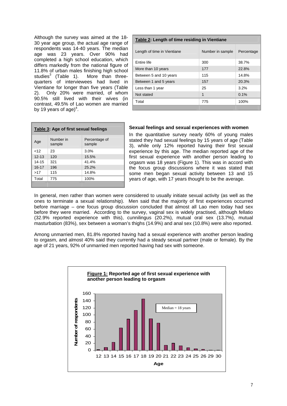Although the survey was aimed at the 18- 30 year age group, the actual age range of respondents was 14-40 years. The median age was 23 years. Over 90% had completed a high school education, which differs markedly from the national figure of 11.8% of urban males finishing high school studies<sup>3</sup> (Table 1). More than threequarters of interviewees had lived in Vientiane for longer than five years (Table 2). Only 20% were married, of whom 90.5% still lived with their wives (in contrast, 49.5% of Lao women are married by 19 years of age)<sup>4</sup>.

| Table 2: Length of time residing in Vientiane |                  |            |  |  |  |
|-----------------------------------------------|------------------|------------|--|--|--|
| Length of time in Vientiane                   | Number in sample | Percentage |  |  |  |
| Entire life                                   | 300              | 38.7%      |  |  |  |
| More than 10 years                            | 177              | 22.8%      |  |  |  |
| Between 5 and 10 years                        | 115              | 14.8%      |  |  |  |
| Between 1 and 5 years                         | 157              | 20.3%      |  |  |  |
| Less than 1 year                              | 25               | 3.2%       |  |  |  |
| Not stated                                    | 1                | 0.1%       |  |  |  |
| Total                                         | 775              | 100%       |  |  |  |
|                                               |                  |            |  |  |  |

| Table 3: Age of first sexual feelings |                     |                         |  |  |
|---------------------------------------|---------------------|-------------------------|--|--|
| Age                                   | Number in<br>sample | Percentage of<br>sample |  |  |
| <12                                   | 23                  | 3.0%                    |  |  |
| $12 - 13$                             | 120                 | 15.5%                   |  |  |
| $14 - 15$                             | 321                 | 41.4%                   |  |  |
| $16 - 17$                             | 196                 | 25.2%                   |  |  |
| >17                                   | 115                 | 14.8%                   |  |  |
| Total                                 | 775                 | 100%                    |  |  |
|                                       |                     |                         |  |  |

#### **Sexual feelings and sexual experiences with women**

In the quantitative survey nearly 60% of young males stated they had sexual feelings by 15 years of age (Table 3), while only 12% reported having their first sexual experience by this age. The median reported age of the first sexual experience with another person leading to orgasm was 18 years (Figure 1). This was in accord with the focus group discussions where it was stated that some men began sexual activity between 13 and 15 years of age, with 17 years thought to be the average.

In general, men rather than women were considered to usually initiate sexual activity (as well as the ones to terminate a sexual relationship). Men said that the majority of first experiences occurred before marriage – one focus group discussion concluded that almost all Lao men today had sex before they were married. According to the survey, vaginal sex is widely practised, although fellatio (32.9% reported experience with this), cunnilingus (20.2%), mutual oral sex (13.7%), mutual masturbation (83%), sex between a woman's thighs (14.9%) and anal sex (10.8%) were also reported.

Among unmarried men, 81.8% reported having had a sexual experience with another person leading to orgasm, and almost 40% said they currently had a steady sexual partner (male or female). By the age of 21 years, 92% of unmarried men reported having had sex with someone.

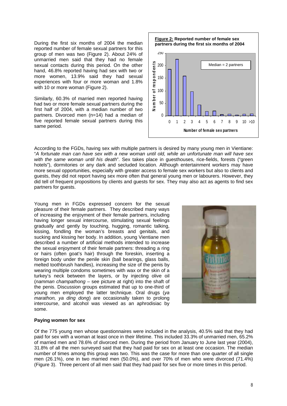During the first six months of 2004 the median reported number of female sexual partners for this group of men was two (Figure 2). About 24% of unmarried men said that they had no female sexual contacts during this period. On the other hand, 46.8% reported having had sex with two or more women, 13.9% said they had sexual experiences with four or more woman and 1.8% with 10 or more woman (Figure 2).

Similarly, 60.3% of married men reported having had two or more female sexual partners during the first half of 2004, with a median number of two partners. Divorced men (n=14) had a median of five reported female sexual partners during this same period.



According to the FGDs, having sex with multiple partners is desired by many young men in Vientiane: "*A fortunate man can have sex with a new woman until old, while an unfortunate man will have sex with the same woman until his death*". Sex takes place in guesthouses, rice-fields, forests ("green hotels"), dormitories or any dark and secluded location. Although entertainment workers may have more sexual opportunities, especially with greater access to female sex workers but also to clients and guests, they did not report having sex more often that general young men or labourers. However, they did tell of frequent propositions by clients and guests for sex. They may also act as agents to find sex partners for quests.

Young men in FGDs expressed concern for the sexual pleasure of their female partners. They described many ways of increasing the enjoyment of their female partners, including having longer sexual intercourse, stimulating sexual feelings gradually and gently by touching, hugging, romantic talking, kissing, fondling the woman's breasts and genitals, and sucking and kissing her body. In addition, young Vientiane men described a number of artificial methods intended to increase the sexual enjoyment of their female partners: threading a ring or hairs (often goat's hair) through the foreskin, inserting a foreign body under the penile skin (ball bearings, glass balls, melted toothbrush handles), increasing the size of the penis by wearing multiple condoms sometimes with wax or the skin of a turkey's neck between the layers, or by injecting olive oil (*namman champathong –* see picture at right) into the shaft of the penis. Discussion groups estimated that up to one-third of young men employed the latter technique. Oral drugs (*ya marathon, ya ding dong*) are occasionally taken to prolong intercourse, and alcohol was viewed as an aphrodisiac by some.



#### **Paying women for sex**

Of the 775 young men whose questionnaires were included in the analysis, 40.5% said that they had paid for sex with a woman at least once in their lifetime. This included 33.3% of unmarried men, 65.2% of married men and 78.6% of divorced men. During the period from January to June last year (2004), 31.8% of all the men surveyed said that they had paid for sex on at least one occasion. The median number of times among this group was two. This was the case for more than one quarter of all single men (26.1%), one in two married men (50.0%), and over 70% of men who were divorced (71.4%) (Figure 3). Three percent of all men said that they had paid for sex five or more times in this period.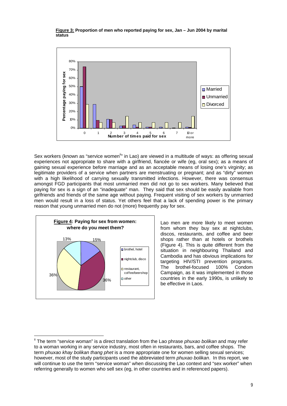**Figure 3: Proportion of men who reported paying for sex, Jan – Jun 2004 by marital status** 



Sex workers (known as "service women<sup>ii</sup>" in Lao) are viewed in a multitude of ways: as offering sexual experiences not appropriate to share with a girlfriend, fiancée or wife (eg, oral sex); as a means of gaining sexual experience before marriage and as an acceptable means of losing one's virginity; as legitimate providers of a service when partners are menstruating or pregnant; and as "dirty" women with a high likelihood of carrying sexually transmitted infections. However, there was consensus amongst FGD participants that most unmarried men did not go to sex workers. Many believed that paying for sex is a sign of an "inadequate" man. They said that sex should be easily available from girlfriends and friends of the same age without paying. Frequent visiting of sex workers by unmarried men would result in a loss of status. Yet others feel that a lack of spending power is the primary reason that young unmarried men do not (more) frequently pay for sex.



 $\overline{a}$ 

Lao men are more likely to meet women from whom they buy sex at nightclubs, discos, restaurants, and coffee and beer shops rather than at hotels or brothels (Figure 4). This is quite different from the situation in neighbouring Thailand and Cambodia and has obvious implications for targeting HIV/STI prevention programs. The brothel-focused 100% Condom Campaign, as it was implemented in those countries in the early 1990s, is unlikely to be effective in Laos.

ii The term "service woman" is a direct translation from the Lao phrase *phuxao bolikan* and may refer to a woman working in any service industry, most often in restaurants, bars, and coffee shops. The term *phuxao khay bolikan thang phet* is a more appropriate one for women selling sexual services; however, most of the study participants used the abbreviated term *phuxao bolikan*. In this report, we will continue to use the term "service woman" when discussing the Lao context and "sex worker" when referring generally to women who sell sex (eg, in other countries and in referenced papers).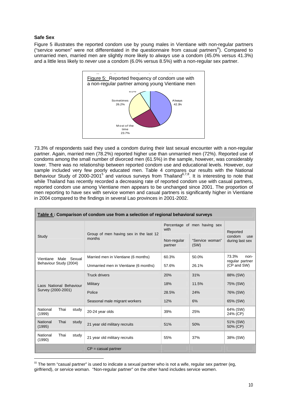#### **Safe Sex**

 $\overline{a}$ 

Figure 5 illustrates the reported condom use by young males in Vientiane with non-regular partners ("service women" were not differentiated in the questionnaire from casual partners"). Compared to unmarried men, married men are slightly more likely to *always* use a condom (45.0% versus 41.3%) and a little less likely to *never* use a condom (6.0% versus 8.5%) with a non-regular sex partner.



73.3% of respondents said they used a condom during their last sexual encounter with a non-regular partner. Again, married men (78.2%) reported higher use than unmarried men (72%). Reported use of condoms among the small number of divorced men (61.5%) in the sample, however, was considerably lower. There was no relationship between reported condom use and educational levels. However, our sample included very few poorly educated men. Table 4 compares our results with the National Behaviour Study of 2000-2001<sup>5</sup> and various surveys from Thailand<sup>6,7,8</sup>. It is interesting to note that while Thailand has recently recorded a decreasing rate of reported condom use with casual partners, reported condom use among Vientiane men appears to be unchanged since 2001. The proportion of men reporting to have sex with service women and casual partners is significantly higher in Vientiane in 2004 compared to the findings in several Lao provinces in 2001-2002.

| Table 4 : Comparison of condom use from a selection of regional behavioral surveys |                                                  |                                |                                                         |                                              |  |  |
|------------------------------------------------------------------------------------|--------------------------------------------------|--------------------------------|---------------------------------------------------------|----------------------------------------------|--|--|
| Study                                                                              | Group of men having sex in the last 12<br>months | with<br>Non-regular<br>partner | Percentage of men having sex<br>"Service woman"<br>(SW) | Reported<br>condom<br>use<br>during last sex |  |  |
| Male Sexual<br>Vientiane<br>Behaviour Study (2004)                                 | Married men in Vientiane (6 months)              | 60.3%                          | 50.0%                                                   | 73.3%<br>non-<br>regular partner             |  |  |
|                                                                                    | Unmarried men in Vientiane (6 months)            | 57.6%                          | 26.1%                                                   | (CP and SW)                                  |  |  |
|                                                                                    | <b>Truck drivers</b>                             | 20%                            | 31%                                                     | 88% (SW)                                     |  |  |
| Laos National Behaviour                                                            | Military                                         | 18%                            | 11.5%                                                   | 75% (SW)                                     |  |  |
| Survey (2000-2001)                                                                 | Police                                           | 28.5%                          | 24%                                                     | 76% (SW)                                     |  |  |
|                                                                                    | Seasonal male migrant workers                    | 12%                            | 6%                                                      | 65% (SW)                                     |  |  |
| National<br>Thai<br>study<br>(1999)                                                | 20-24 year olds                                  | 39%                            | 25%                                                     | 64% (SW)<br>24% (CP)                         |  |  |
| <b>National</b><br>Thai<br>study<br>(1995)                                         | 21 year old military recruits                    | 51%                            | 50%                                                     | 51% (SW)<br>50% (CP)                         |  |  |
| National<br>Thai<br>study<br>(1990)                                                | 21 year old military recruits                    | 55%                            | 37%                                                     | 38% (SW)                                     |  |  |
|                                                                                    | $CP =$ casual partner                            |                                |                                                         |                                              |  |  |

iii The term "casual partner" is used to indicate a sexual partner who is not a wife, regular sex partner (eg, girlfriend), or service woman. "Non-regular partner" on the other hand includes service women.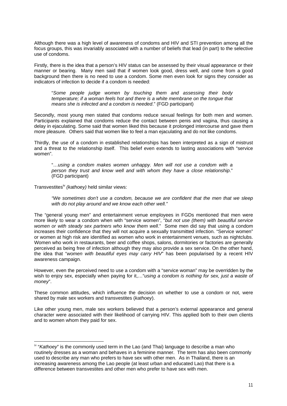Although there was a high level of awareness of condoms and HIV and STI prevention among all the focus groups, this was invariably associated with a number of beliefs that lead (in part) to the selective use of condoms.

Firstly, there is the idea that a person's HIV status can be assessed by their visual appearance or their manner or bearing. Many men said that if women look good, dress well, and come from a good background then there is no need to use a condom. Some men even look for signs they consider as indicators of infection to decide if a condom is needed:

"*Some people judge women by touching them and assessing their body temperature; if a woman feels hot and there is a white membrane on the tongue that means she is infected and a condom is needed*." (FGD participant)

Secondly, most young men stated that condoms reduce sexual feelings for both men and women. Participants explained that condoms reduce the contact between penis and vagina, thus causing a delay in ejaculating. Some said that women liked this because it prolonged intercourse and gave them more pleasure. Others said that women like to feel a man ejaculating and do not like condoms.

Thirdly, the use of a condom in established relationships has been interpreted as a sign of mistrust and a threat to the relationship itself. This belief even extends to lasting associations with "service women".

"…*using a condom makes women unhappy. Men will not use a condom with a person they trust and know well and with whom they have a close relationship*." (FGD participant)

Transvestitesiv *(kathoey)* held similar views:

 $\overline{a}$ 

*"We sometimes don't use a condom, because we are confident that the men that we sleep with do not play around and we know each other well."* 

The "general young men" and entertainment venue employees in FGDs mentioned that men were more likely to wear a condom when with "service women", "*but not use (them) with beautiful service women or with steady sex partners who know them well*." Some men did say that using a condom increases their confidence that they will not acquire a sexually transmitted infection. "Service women" or women at high risk are identified as women who work in entertainment venues, such as nightclubs. Women who work in restaurants, beer and coffee shops, salons, dormitories or factories are generally perceived as being free of infection although they may also provide a sex service. On the other hand, the idea that "*women with beautiful eyes may carry HIV*" has been popularised by a recent HIV awareness campaign.

However, even the perceived need to use a condom with a "service woman" may be overridden by the wish to enjoy sex, especially when paying for it,…"*using a condom is nothing for sex, just a waste of money*".

These common attitudes, which influence the decision on whether to use a condom or not, were shared by male sex workers and transvestites (*kathoey*).

Like other young men, male sex workers believed that a person's external appearance and general character were associated with their likelihood of carrying HIV. This applied both to their own clients and to women whom they paid for sex.

iv "*Kathoey*" is the commonly used term in the Lao (and Thai) language to describe a man who routinely dresses as a woman and behaves in a feminine manner. The term has also been commonly used to describe any man who prefers to have sex with other men. As in Thailand, there is an increasing awareness among the Lao people (at least urban and educated Lao) that there is a difference between transvestites and other men who prefer to have sex with men.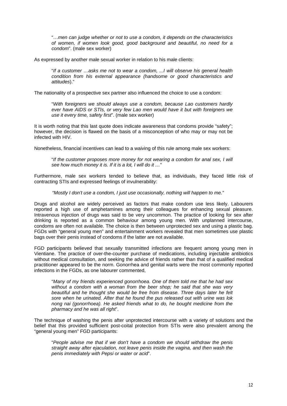"…*men can judge whether or not to use a condom, it depends on the characteristics of women, if women look good, good background and beautiful, no need for a condom*". (male sex worker)

As expressed by another male sexual worker in relation to his male clients:

"*If a customer …asks me not to wear a condom, ...I will observe his general health condition from his external appearance (handsome or good characteristics and attitudes*)."

The nationality of a prospective sex partner also influenced the choice to use a condom:

"*With foreigners we should always use a condom, because Lao customers hardly ever have AIDS or STIs, or very few Lao men would have it but with foreigners we use it every time, safety first*". (male sex worker)

It is worth noting that this last quote does indicate awareness that condoms provide "safety"; however, the decision is flawed on the basis of a misconception of who may or may not be infected with HIV.

Nonetheless, financial incentives can lead to a waiving of this rule among male sex workers:

"*If the customer proposes more money for not wearing a condom for anal sex, I will see how much money it is. If it is a lot, I will do it …*"

Furthermore, male sex workers tended to believe that, as individuals, they faced little risk of contracting STIs and expressed feelings of invulnerability:

*"Mostly I don't use a condom, I just use occasionally, nothing will happen to me."*

Drugs and alcohol are widely perceived as factors that make condom use less likely. Labourers reported a high use of amphetamines among their colleagues for enhancing sexual pleasure. Intravenous injection of drugs was said to be very uncommon. The practice of looking for sex after drinking is reported as a common behaviour among young men. With unplanned intercourse, condoms are often not available. The choice is then between unprotected sex and using a plastic bag. FGDs with "general young men" and entertainment workers revealed that men sometimes use plastic bags over their penis instead of condoms if the latter are not available.

FGD participants believed that sexually transmitted infections are frequent among young men in Vientiane. The practice of over-the-counter purchase of medications, including injectable antibiotics without medical consultation, and seeking the advice of friends rather than that of a qualified medical practitioner appeared to be the norm. Gonorrhea and genital warts were the most commonly reported infections in the FGDs, as one labourer commented,

"*Many of my friends experienced gonorrhoea. One of them told me that he had sex without a condom with a woman from the beer shop; he said that she was very beautiful and he thought she would be free from disease. Three days later he felt sore when he urinated. After that he found the pus released out with urine was lok nong nai (gonorrhoea). He asked friends what to do, he bought medicine from the pharmacy and he was all right*".

The technique of washing the penis after unprotected intercourse with a variety of solutions and the belief that this provided sufficient post-coital protection from STIs were also prevalent among the "general young men" FGD participants:

"*People advise me that if we don't have a condom we should withdraw the penis straight away after ejaculation, not leave penis inside the vagina, and then wash the penis immediately with Pepsi or water or acid*".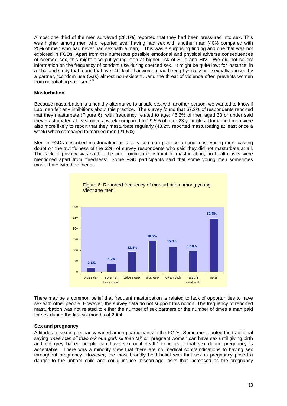Almost one third of the men surveyed (28.1%) reported that they had been pressured into sex. This was higher among men who reported ever having had sex with another man (40% compared with 25% of men who had never had sex with a man). This was a surprising finding and one that was not explored in FGDs. Apart from the numerous possible emotional and physical adverse consequences of coerced sex, this might also put young men at higher risk of STIs and HIV. We did not collect information on the frequency of condom use during coerced sex. It might be quite low; for instance, in a Thailand study that found that over 40% of Thai women had been physically and sexually abused by a partner, "condom use (was) almost non-existent…and the threat of violence often prevents women from negotiating safe sex."

#### **Masturbation**

Because masturbation is a healthy alternative to unsafe sex with another person, we wanted to know if Lao men felt any inhibitions about this practice. The survey found that 67.2% of respondents reported that they masturbate (Figure 6), with frequency related to age: 46.2% of men aged 23 or under said they masturbated at least once a week compared to 29.5% of over 23 year olds. Unmarried men were also more likely to report that they masturbate regularly (43.2% reported masturbating at least once a week) when compared to married men (21.5%).

Men in FGDs described masturbation as a very common practice among most young men, casting doubt on the truthfulness of the 32% of survey respondents who said they did not masturbate at all. The lack of privacy was said to be one common constraint to masturbating; no health risks were mentioned apart from "tiredness". Some FGD participants said that some young men sometimes masturbate with their friends.





There may be a common belief that frequent masturbation is related to lack of opportunities to have sex with other people. However, the survey data do not support this notion. The frequency of reported masturbation was not related to either the number of sex partners or the number of times a man paid for sex during the first six months of 2004.

#### **Sex and pregnancy**

Attitudes to sex in pregnancy varied among participants in the FGDs. Some men quoted the traditional saying "*mae man sii thao ork oua gork sii thao tai" or* "pregnant women can have sex until giving birth and old grey haired people can have sex until death" to indicate that sex during pregnancy is acceptable. There was a minority view that there are no medical contraindications to having sex throughout pregnancy. However, the most broadly held belief was that sex in pregnancy posed a danger to the unborn child and could induce miscarriage, risks that increased as the pregnancy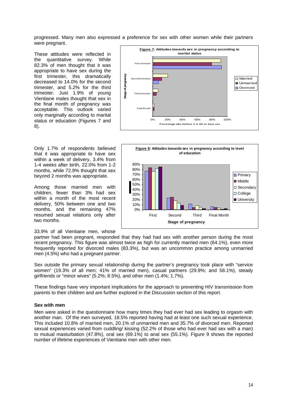progressed. Many men also expressed a preference for sex with other women while their partners were pregnant.

These attitudes were reflected in the quantitative survey. While 82.3% of men thought that it was appropriate to have sex during the first trimester, this dramatically decreased to 14.0% for the second trimester, and 5.2% for the third trimester. Just 1.9% of young Vientiane males thought that sex in the final month of pregnancy was acceptable. This outlook varied only marginally according to marital status or education (Figures 7 and 8).

Only 1.7% of respondents believed that it was appropriate to have sex within a week of delivery, 3.4% from 1-4 weeks after birth, 22.0% from 1-2 months, while 72.9% thought that sex beyond 2 months was appropriate.

Among those married men with children, fewer than 3% had sex within a month of the most recent delivery, 50% between one and two months, and the remaining 47% resumed sexual relations only after two months.

33.9% of all Vientiane men, whose





partner had been pregnant, responded that they had had sex with another person during the most recent pregnancy. This figure was almost twice as high for currently married men (64.1%), even more frequently reported for divorced males (83.3%), but was an uncommon practice among unmarried men (4.5%) who had a pregnant partner.

Sex outside the primary sexual relationship during the partner's pregnancy took place with "service women" (19.3% of all men; 41% of married men), casual partners (29.9%; and 58.1%), steady girlfriends or "minor wives" (5.2%; 8.5%), and other men (1.4%; 1.7%).

These findings have very important implications for the approach to preventing HIV transmission from parents to their children and are further explored in the Discussion section of this report.

#### **Sex with men**

Men were asked in the questionnaire how many times they had ever had sex leading to orgasm with another man. Of the men surveyed, 18.5% reported having had at least one such sexual experience. This included 10.8% of married men, 20.1% of unmarried men and 35.7% of divorced men. Reported sexual experiences varied from cuddling/ kissing (52.2% of those who had ever had sex with a man) to mutual masturbation (47.8%), oral sex (69.1%) to anal sex (55.1%). Figure 9 shows the reported number of lifetime experiences of Vientiane men with other men.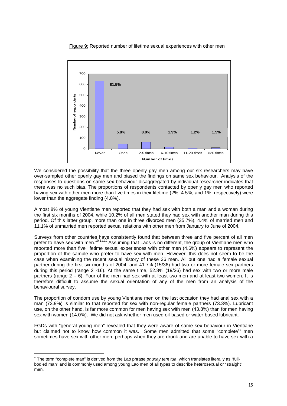Figure 9: Reported number of lifetime sexual experiences with other men



We considered the possibility that the three openly gay men among our six researchers may have over-sampled other openly gay men and biased the findings on same sex behaviour. Analysis of the responses to questions on same sex behaviour disaggregated by individual researcher indicates that there was no such bias. The proportions of respondents contacted by openly gay men who reported having sex with other men more than five times in their lifetime (2%, 4.5%, and 1%, respectively) were lower than the aggregate finding (4.8%).

Almost 8% of young Vientiane men reported that they had sex with both a man and a woman during the first six months of 2004, while 10.2% of all men stated they had sex with another man during this period. Of this latter group, more than one in three divorced men (35.7%), 4.4% of married men and 11.1% of unmarried men reported sexual relations with other men from January to June of 2004.

Surveys from other countries have consistently found that between three and five percent of all men prefer to have sex with men.<sup>10,11,12</sup> Assuming that Laos is no different, the group of Vientiane men who reported more than five lifetime sexual experiences with other men (4.6%) appears to represent the proportion of the sample who prefer to have sex with men. However, this does not seem to be the case when examining the recent sexual history of these 36 men. All but one had a female sexual partner during the first six months of 2004, and 41.7% (15/36) had two or more female sex partners during this period (range 2 -16). At the same time, 52.8% (19/36) had sex with two or more male partners (range  $2 - 6$ ). Four of the men had sex with at least two men and at least two women. It is therefore difficult to assume the sexual orientation of any of the men from an analysis of the behavioural survey.

The proportion of condom use by young Vientiane men on the last occasion they had anal sex with a man (73.9%) is similar to that reported for sex with non-regular female partners (73.3%). Lubricant use, on the other hand, is far more common for men having sex with men (43.8%) than for men having sex with women (14.0%). We did not ask whether men used oil-based or water-based lubricant.

FGDs with "general young men" revealed that they were aware of same sex behaviour in Vientiane but claimed not to know how common it was. Some men admitted that some "complete" men sometimes have sex with other men, perhaps when they are drunk and are unable to have sex with a

 $\overline{a}$ 

<sup>v</sup> The term "complete man" is derived from the Lao phrase *phuxay tem tua*, which translates literally as "fullbodied man" and is commonly used among young Lao men of all types to describe heterosexual or "straight" men.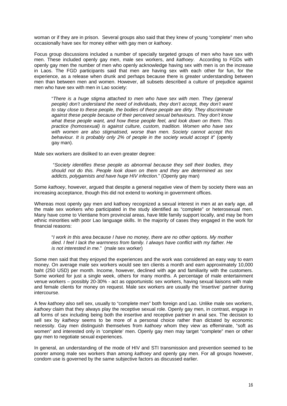woman or if they are in prison. Several groups also said that they knew of young "complete" men who occasionally have sex for money either with gay men or *kathoey*.

Focus group discussions included a number of specially targeted groups of men who have sex with men. These included openly gay men, male sex workers, and *kathoey*. According to FGDs with openly gay men the number of men who openly acknowledge having sex with men is on the increase in Laos. The FGD participants said that men are having sex with each other for fun, for the experience, as a release when drunk and perhaps because there is greater understanding between men than between men and women. However, all subsets described a culture of prejudice against men who have sex with men in Lao society:

"*There is a huge stigma attached to men who have sex with men. They (general people) don't understand the need of individuals, they don't accept, they don't want to stay close to these people, the bodies of these people are dirty. They discriminate against these people because of their perceived sexual behaviours. They don't know what these people want, and how these people feel, and look down on them. This practice (homosexual) is against culture, custom, tradition. Women who have sex with women are also stigmatised, worse than men. Society cannot accept this behaviour. It is probably only 2% of people in the society would accept it*" (openly gay man).

Male sex workers are disliked to an even greater degree:

"*Society identifies these people as abnormal because they sell their bodies, they should not do this. People look down on them and they are determined as sex addicts, polygamists and have huge HIV infection.*" (Openly gay man)

Some *kathoey*, however, argued that despite a general negative view of them by society there was an increasing acceptance, though this did not extend to working in government offices.

Whereas most openly gay men and kathoey recognized a sexual interest in men at an early age, all the male sex workers who participated in the study identified as "complete" or heterosexual men. Many have come to Vientiane from provincial areas, have little family support locally, and may be from ethnic minorities with poor Lao language skills. In the majority of cases they engaged in the work for financial reasons:

"*I work in this area because I have no money, there are no other options. My mother died. I feel I lack the warmness from family. I always have conflict with my father. He is not interested in me.*" (male sex worker)

Some men said that they enjoyed the experiences and the work was considered an easy way to earn money. On average male sex workers would see ten clients a month and earn approximately 10,000 baht (250 USD) per month. Income, however, declined with age and familiarity with the customers. Some worked for just a single week, others for many months. A percentage of male entertainment venue workers – possibly 20-30% - act as opportunistic sex workers, having sexual liaisons with male and female clients for money on request. Male sex workers are usually the 'insertive' partner during intercourse.

A few *kathoey* also sell sex, usually to "complete men" both foreign and Lao. Unlike male sex workers, *kathoey* claim that they always play the receptive sexual role. Openly gay men, in contrast, engage in all forms of sex including being both the insertive and receptive partner in anal sex. The decision to sell sex by *katheoy* seems to be more of a personal choice rather than dictated by economic necessity. Gay men distinguish themselves from *kathoey* whom they view as effeminate, "soft as women" and interested only in 'complete' men. Openly gay men may target "complete" men or other gay men to negotiate sexual experiences.

In general, an understanding of the mode of HIV and STI transmission and prevention seemed to be poorer among male sex workers than among *kathoey* and openly gay men. For all groups however, condom use is governed by the same subjective factors as discussed earlier.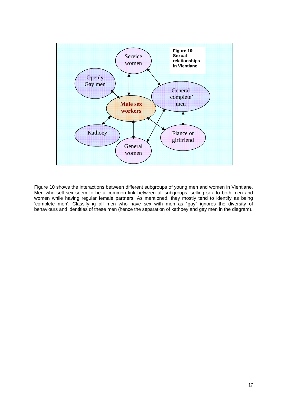

Figure 10 shows the interactions between different subgroups of young men and women in Vientiane. Men who sell sex seem to be a common link between all subgroups, selling sex to both men and women while having regular female partners. As mentioned, they mostly tend to identify as being 'complete men'. Classifying all men who have sex with men as "gay" ignores the diversity of behaviours and identities of these men (hence the separation of kathoey and gay men in the diagram).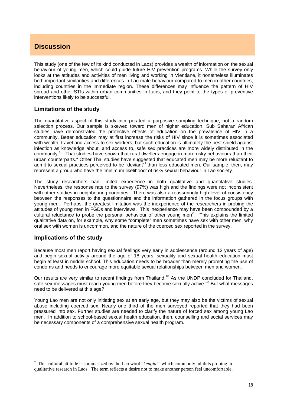# **Discussion**

This study (one of the few of its kind conducted in Laos) provides a wealth of information on the sexual behaviour of young men, which could guide future HIV prevention programs. While the survey only looks at the attitudes and activities of men living and working in Vientiane, it nonetheless illuminates both important similarities and differences in Lao male behaviour compared to men in other countries, including countries in the immediate region. These differences may influence the pattern of HIV spread and other STIs within urban communities in Laos, and they point to the types of preventive interventions likely to be successful.

### **Limitations of the study**

The quantitative aspect of this study incorporated a purposive sampling technique, not a random selection process. Our sample is skewed toward men of higher education. Sub Saharan African studies have demonstrated the protective effects of education on the prevalence of HIV in a community. Better education may at first increase the risks of HIV since it is sometimes associated with wealth, travel and access to sex workers; but such education is ultimately the best shield against infection as knowledge about, and access to, safe sex practices are more widely distributed in the community.13 Thai studies have shown that rural dwellers engage in more risky behaviours than their urban counterparts.<sup>1</sup> Other Thai studies have suggested that educated men may be more reluctant to admit to sexual practices perceived to be "deviant"<sup>1</sup> than less educated men. Our sample, then, may admit to sexual practices perceived to be "deviant"<sup>1</sup> than less educated men. Our sample, then, may represent a group who have the 'minimum likelihood' of risky sexual behaviour in Lao society.

The study researchers had limited experience in both qualitative and quantitative studies. Nevertheless, the response rate to the survey (97%) was high and the findings were not inconsistent with other studies in neighbouring countries. There was also a reassuringly high level of consistency between the responses to the questionnaire and the information gathered in the focus groups with young men. Perhaps, the greatest limitation was the inexperience of the researchers in probing the attitudes of young men in FGDs and interviews. This inexperience may have been compounded by a cultural reluctance to probe the personal behaviour of other young men<sup>vi</sup>. This explains the limited qualitative data on, for example, why some "complete" men sometimes have sex with other men, why oral sex with women is uncommon, and the nature of the coerced sex reported in the survey.

### **Implications of the study**

 $\overline{a}$ 

Because most men report having sexual feelings very early in adolescence (around 12 years of age) and begin sexual activity around the age of 18 years, sexuality and sexual health education must begin at least in middle school. This education needs to be broader than merely promoting the use of condoms and needs to encourage more equitable sexual relationships between men and women.

Our results are very similar to recent findings from Thailand.<sup>10</sup> As the UNDP concluded for Thailand, safe sex messages must reach young men before they become sexually active.<sup>10</sup> But what messages need to be delivered at this age?

Young Lao men are not only initiating sex at an early age, but they may also be the victims of sexual abuse including coerced sex. Nearly one third of the men surveyed reported that they had been pressured into sex. Further studies are needed to clarify the nature of forced sex among young Lao men. In addition to school-based sexual health education, then, counselling and social services may be necessary components of a comprehensive sexual health program.

vi This cultural attitude is summarized by the Lao word "*kengjai"* which commonly inhibits probing in qualitative research in Laos. The term reflects a desire not to make another person feel uncomfortable.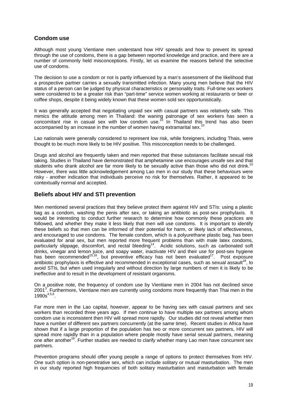### **Condom use**

Although most young Vientiane men understand how HIV spreads and how to prevent its spread through the use of condoms, there is a gap between reported knowledge and practice, and there are a number of commonly held misconceptions. Firstly, let us examine the reasons behind the selective use of condoms.

The decision to use a condom or not is partly influenced by a man's assessment of the likelihood that a prospective partner carries a sexually transmitted infection. Many young men believe that the HIV status of a person can be judged by physical characteristics or personality traits. Full-time sex workers were considered to be a greater risk than "part-time" service women working at restaurants or beer or coffee shops, despite it being widely known that these women sold sex opportunistically.

It was generally accepted that negotiating unpaid sex with casual partners was relatively safe. This mimics the attitude among men in Thailand: the waning patronage of sex workers has seen a concomitant rise in casual sex with low condom use.<sup>10</sup> In Thailand this trend has also been accompanied by an increase in the number of women having extramarital sex.<sup>10</sup>

Lao nationals were generally considered to represent low risk, while foreigners, including Thais, were thought to be much more likely to be HIV positive. This misconception needs to be challenged.

Drugs and alcohol are frequently taken and men reported that these substances facilitate sexual risk taking. Studies in Thailand have demonstrated that amphetamine use encourages unsafe sex and that students who drank alcohol are far more likely to be sexually active than those who did not drink.<sup>1</sup> However, there was little acknowledgement among Lao men in our study that these behaviours were risky - another indication that individuals perceive no risk for themselves. Rather, it appeared to be contextually normal and accepted.

### **Beliefs about HIV and STI prevention**

Men mentioned several practices that they believe protect them against HIV and STIs: using a plastic bag as a condom, washing the penis after sex, or taking an antibiotic as post-sex prophylaxis. It would be interesting to conduct further research to determine how commonly these practices are followed, and whether they make it less likely that men will use condoms. It is important to identify these beliefs so that men can be informed of their potential for harm, or likely lack of effectiveness, and encouraged to use condoms. The female condom, which is a polyurethane plastic bag, has been evaluated for anal sex, but men reported more frequent problems than with male latex condoms, particularly slippage, discomfort, and rectal bleeding<sup>14</sup>. Acidic solutions, such as carbonated soft drinks, vinegar and lemon juice, and soapy water, inactivate HIV and their use for post-sex hygiene has been recommended<sup>15,16</sup>, but preventive efficacy has not been evaluated<sup>17</sup>. Post exposure antibiotic prophylaxis is effective and recommended in exceptional cases, such as sexual assault<sup>18</sup>, to avoid STIs, but when used irregularly and without direction by large numbers of men it is likely to be ineffective and to result in the development of resistant organisms.

On a positive note, the frequency of condom use by Vientiane men in 2004 has not declined since 2001<sup>3</sup>. Furthermore, Vientiane men are currently using condoms more frequently than Thai men in the  $1990s^{4,5,6}$ .

Far more men in the Lao capital, however, appear to be having sex with casual partners and sex workers than recorded three years ago. If men continue to have multiple sex partners among whom condom use is inconsistent then HIV will spread more rapidly. Our studies did not reveal whether men have a number of different sex partners concurrently (at the same time). Recent studies in Africa have shown that if a large proportion of the population has two or more concurrent sex partners, HIV will spread more rapidly than in a population where people mostly have serial sexual partners, meaning one after another<sup>19</sup>. Further studies are needed to clarify whether many Lao men have concurrent sex partners.

Prevention programs should offer young people a range of options to protect themselves from HIV. One such option is non-penetrative sex, which can include solitary or mutual masturbation. The men in our study reported high frequencies of both solitary masturbation and masturbation with female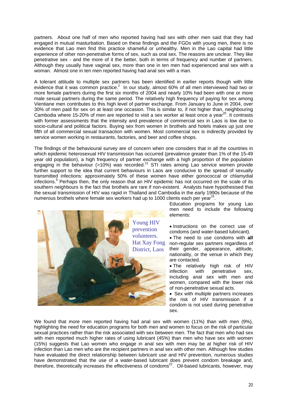partners. About one half of men who reported having had sex with other men said that they had engaged in mutual masturbation. Based on these findings and the FGDs with young men, there is no evidence that Lao men find this practice shameful or unhealthy. Men in the Lao capital had little experience of other non-penetrative forms of sex, such as oral sex. The reasons are unclear. They like penetrative sex - and the more of it the better, both in terms of frequency and number of partners. Although they usually have vaginal sex, more than one in ten men had experienced anal sex with a woman. Almost one in ten men reported having had anal sex with a man.

A tolerant attitude to multiple sex partners has been identified in earlier reports though with little evidence that it was common practice.<sup>2</sup> In our study, almost 60% of all men interviewed had two or more female partners during the first six months of 2004 and nearly 10% had been with one or more male sexual partners during the same period. The relatively high frequency of paying for sex among Vientiane men contributes to this high level of partner exchange. From January to June in 2004, over 30% of men paid for sex on at least one occasion. This is similar to, if not higher than, neighbouring Cambodia where 15-20% of men are reported to visit a sex worker at least once a vear<sup>20</sup>. It contrasts with former assessments that the intensity and prevalence of commercial sex in Laos is low due to socio-cultural and political factors. Buying sex from women in brothels and hotels makes up just one fifth of all commercial sexual transaction with women. Most commercial sex is indirectly provided by service women working in restaurants, factories, and beer and coffee shops.

The findings of the behavioural survey are of concern when one considers that in all the countries in which epidemic heterosexual HIV transmission has occurred (prevalence greater than 1% of the 15-49 year old population), a high frequency of partner exchange with a high proportion of the population engaging in the behaviour (>10%) was recorded.<sup>21</sup> STI rates among Lao service women provide further support to the idea that current behaviours in Laos are conducive to the spread of sexually transmitted infections: approximately 50% of these women have either gonococcal or chlamydial infections.<sup>9</sup> Perhaps then, the only reason that an HIV epidemic has not occurred on the scale of its southern neighbours is the fact that brothels are rare if non-existent. Analysts have hypothesised that the sexual transmission of HIV was rapid in Thailand and Cambodia in the early 1990s because of the numerous brothels where female sex workers had up to 1000 clients each per year<sup>15</sup>.



Education programs for young Lao men need to include the following elements:

• Instructions on the correct use of condoms (and water-based lubricant).

• The need to use condoms with **all**  non-regular sex partners regardless of their gender, appearance, attitude, nationality, or the venue in which they are contacted.

• The relatively high risk of HIV<br>infection with penetrative sex, penetrative sex, including anal sex with men and women, compared with the lower risk of non-penetrative sexual acts.

• Sex with multiple partners increases the risk of HIV transmission if a condom is not used during penetrative sex.

We found that more men reported having had anal sex with women (11%) than with men (9%), highlighting the need for education programs for both men and women to focus on the risk of particular sexual practices rather than the risk associated with sex between men. The fact that men who had sex with men reported much higher rates of using lubricant (45%) than men who have sex with women (15%) suggests that Lao women who engage in anal sex with men may be at higher risk of HIV infection than Lao men who are the recipient partners in anal sex with other men. Although few studies have evaluated the direct relationship between lubricant use and HIV prevention, numerous studies have demonstrated that the use of a water-based lubricant does prevent condom breakage and, therefore, theoretically increases the effectiveness of condoms<sup>22</sup>. Oil-based lubricants, however, may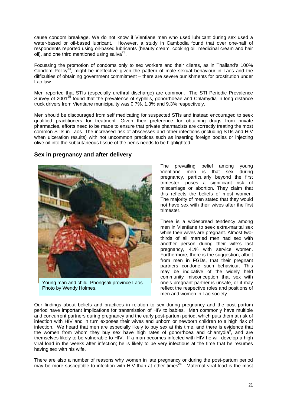cause condom breakage. We do not know if Vientiane men who used lubricant during sex used a water-based or oil-based lubricant. However, a study in Cambodia found that over one-half of respondents reported using oil-based lubricants (beauty cream, cooking oil, medicinal cream and hair oil), and one third mentioned using saliva<sup>23</sup>.

Focussing the promotion of condoms only to sex workers and their clients, as in Thailand's 100% Condom Policy<sup>24</sup>, might be ineffective given the pattern of male sexual behaviour in Laos and the difficulties of obtaining government commitment – there are severe punishments for prostitution under Lao law.

Men reported that STIs (especially urethral discharge) are common. The STI Periodic Prevalence Survey of 2001<sup>25</sup> found that the prevalence of syphilis, gonorrhoeae and Chlamydia in long distance truck drivers from Vientiane municipality was 0.7%, 1.3% and 9.3% respectively.

Men should be discouraged from self medicating for suspected STIs and instead encouraged to seek qualified practitioners for treatment. Given their preference for obtaining drugs from private pharmacies, efforts need to be made to ensure that private pharmacists are correctly treating the most common STIs in Laos. The increased risk of abscesses and other infections (including STIs and HIV when ulceration results) with not uncommon practices such as inserting foreign bodies or injecting olive oil into the subcutaneous tissue of the penis needs to be highlighted.

#### **Sex in pregnancy and after delivery**



Young man and child, Phongsali province Laos. Photo by Wendy Holmes.

The prevailing belief among young Vientiane men is that sex during pregnancy, particularly beyond the first trimester, poses a significant risk of miscarriage or abortion. They claim that this reflects the beliefs of most women. The majority of men stated that they would not have sex with their wives after the first trimester.

There is a widespread tendency among men in Vientiane to seek extra-marital sex while their wives are pregnant. Almost twothirds of all married men had sex with another person during their wife's last pregnancy, 41% with service women. Furthermore, there is the suggestion, albeit from men in FGDs, that their pregnant partners condone such behaviour. This may be indicative of the widely held community misconception that sex with one's pregnant partner is unsafe, or it may reflect the respective roles and positions of men and women in Lao society.

Our findings about beliefs and practices in relation to sex during pregnancy and the post partum period have important implications for transmission of HIV to babies. Men commonly have multiple and concurrent partners during pregnancy and the early post-partum period, which puts them at risk of infection with HIV and in turn exposes their wives and unborn or newborn children to a high risk of infection. We heard that men are especially likely to buy sex at this time, and there is evidence that the women from whom they buy sex have high rates of gonorrhoea and chlamydia $9^{\circ}$ , and are themselves likely to be vulnerable to HIV. If a man becomes infected with HIV he will develop a high viral load in the weeks after infection; he is likely to be very infectious at the time that he resumes having sex with his wife.

There are also a number of reasons why women in late pregnancy or during the post-partum period may be more susceptible to infection with HIV than at other times<sup>26</sup>. Maternal viral load is the most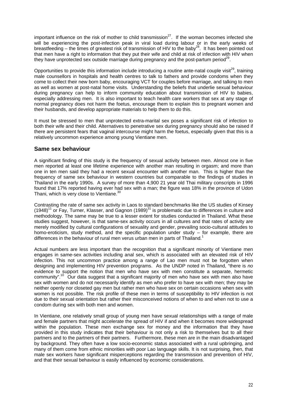important influence on the risk of mother to child transmission<sup>27</sup>. If the woman becomes infected she will be experiencing the post-infection peak in viral load during labour or in the early weeks of breastfeeding – the times of greatest risk of transmission of HIV to the baby<sup>28</sup>. It has been pointed out that men have a right to information that they put their wife and child at risk of infection with HIV when they have unprotected sex outside marriage during pregnancy and the post-partum period<sup>29</sup>.

Opportunities to provide this information include introducing a routine ante-natal couple visit<sup>29</sup>, training male counsellors in hospitals and health centres to talk to fathers and provide condoms when they come to collect their new born baby, encouraging VCT for couples before marriage, and talking to men as well as women at post-natal home visits. Understanding the beliefs that underlie sexual behaviour during pregnancy can help to inform community education about transmission of HIV to babies, especially addressing men. It is also important to teach health care workers that sex at any stage of normal pregnancy does not harm the foetus, encourage them to explain this to pregnant women and their husbands, and develop appropriate materials to help them to do this.

It must be stressed to men that unprotected extra-marital sex poses a significant risk of infection to both their wife and their child. Alternatives to penetrative sex during pregnancy should also be raised if there are persistent fears that vaginal intercourse might harm the foetus, especially given that this is a relatively uncommon experience among young Vientiane men.

### **Same sex behaviour**

A significant finding of this study is the frequency of sexual activity between men. Almost one in five men reported at least one lifetime experience with another man resulting in orgasm; and more than one in ten men said they had a recent sexual encounter with another man. This is higher than the frequency of same sex behaviour in western countries but comparable to the findings of studies in Thailand in the early 1990s. A survey of more than 4,900 21 year old Thai military conscripts in 1996 found that 17% reported having ever had sex with a man; the figure was 18% in the province of Udon Thani, which is very close to Vientiane.<sup>3</sup>

Contrasting the rate of same sex activity in Laos to standard benchmarks like the US studies of Kinsey  $(1948)^{11}$  or Fay, Turner, Klasser, and Gagnon  $(1989)^{31}$  is problematic due to differences in culture and methodology. The same may be true to a lesser extent for studies conducted in Thailand. What these studies suggest, however, is that same-sex activity occurs in all cultures and that rates of activity are merely modified by cultural configurations of sexuality and gender, prevailing socio-cultural attitudes to homo-eroticism, study method, and the specific population under study – for example, there are differences in the behaviour of rural men verus urban men in parts of Thailand.<sup>1</sup>

Actual numbers are less important than the recognition that a significant minority of Vientiane men engages in same-sex activities including anal sex, which is associated with an elevated risk of HIV infection. This not uncommon practice among a range of Lao men must not be forgotten when designing and implementing HIV prevention programs. As the UNDP noted in Thailand, "there is *no* evidence to support the notion that men who have sex with men constitute a separate, hermetic community".<sup>10</sup> Our data suggest that a significant majority of men who have sex with men also have sex with women and do not necessarily identify as men who prefer to have sex with men; they may be neither openly nor closeted gay men but rather men who have sex on certain occasions when sex with women is not possible. The risk profile of these men in terms of susceptibility to HIV infection is not due to their sexual orientation but rather their misconceived notions of when to and when not to use a condom during sex with both men and women.

In Vientiane, one relatively small group of young men have sexual relationships with a range of male and female partners that might accelerate the spread of HIV if and when it becomes more widespread within the population. These men exchange sex for money and the information that they have provided in this study indicates that their behaviour is not only a risk to themselves but to all their partners and to the partners of their partners. Furthermore, these men are in the main disadvantaged by background. They often have a low socio-economic status associated with a rural upbringing, and many of them come from ethnic minorities with poor Lao language skills. It is not surprising, then, that male sex workers have significant misperceptions regarding the transmission and prevention of HIV, and that their sexual behaviour is easily influenced by economic considerations.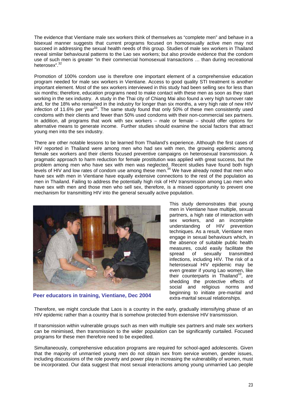The evidence that Vientiane male sex workers think of themselves as "complete men" and behave in a bisexual manner suggests that current programs focused on homosexually active men may not succeed in addressing the sexual health needs of this group. Studies of male sex workers in Thailand reveal similar behavioural patterns to the Lao sex workers; but also provide evidence that the condom use of such men is greater "in their commercial homosexual transactions … than during recreational heterosex".<sup>32</sup>

Promotion of 100% condom use is therefore one important element of a comprehensive education program needed for male sex workers in Vientiane. Access to good quality STI treatment is another important element. Most of the sex workers interviewed in this study had been selling sex for less than six months; therefore, education programs need to make contact with these men as soon as they start working in the sex industry. A study in the Thai city of Chiang Mai also found a very high turnover rate and, for the 18% who remained in the industry for longer than six months, a very high rate of new HIV infection of 11.6% per year<sup>33</sup>. The same study found that only 50% of these men consistently used condoms with their clients and fewer than 50% used condoms with their non-commercial sex partners. In addition, all programs that work with sex workers – male or female – should offer options for alternative means to generate income. Further studies should examine the social factors that attract young men into the sex industry.

There are other notable lessons to be learned from Thailand's experience. Although the first cases of HIV reported in Thailand were among men who had sex with men, the growing epidemic among female sex workers and their clients focused preventive campaigns on heterosexual transmission. A pragmatic approach to harm reduction for female prostitution was applied with great success, but the problem among men who have sex with men was neglected. Recent studies have found both high levels of HIV and low rates of condom use among these men.34 We have already noted that men who have sex with men in Vientiane have equally extensive connections to the rest of the population as men in Thailand. Failing to address the potentially high risk of HIV transmission among Lao men who have sex with men and those men who sell sex, therefore, is a missed opportunity to prevent one mechanism for transmitting HIV into the general sexually active population.



**Peer educators in training, Vientiane, Dec 2004** 

This study demonstrates that young men in Vientiane have multiple, sexual partners, a high rate of interaction with sex workers, and an incomplete understanding of HIV prevention techniques. As a result, Vientiane men engage in sexual behaviours which, in the absence of suitable public health measures, could easily facilitate the spread of sexually transmitted infections, including HIV. The risk of a heterosexual HIV epidemic may be even greater if young Lao women, like their counterparts in Thailand $10$ , are shedding the protective effects of social and religious norms and beginning to initiate pre-marital and extra-marital sexual relationships.

Therefore, we might conclude that Laos is a country in the early, gradually intensifying phase of an HIV epidemic rather than a country that is somehow protected from extensive HIV transmission.

If transmission within vulnerable groups such as men with multiple sex partners and male sex workers can be minimised, then transmission to the wider population can be significantly curtailed. Focused programs for these men therefore need to be expedited.

Simultaneously, comprehensive education programs are required for school-aged adolescents. Given that the majority of unmarried young men do not obtain sex from service women, gender issues, including discussions of the role poverty and power play in increasing the vulnerability of women, must be incorporated. Our data suggest that most sexual interactions among young unmarried Lao people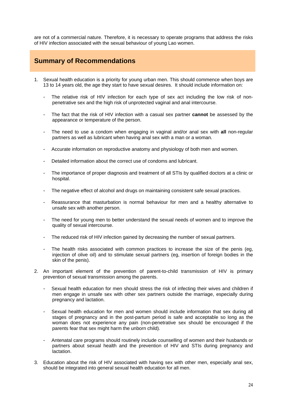are not of a commercial nature. Therefore, it is necessary to operate programs that address the risks of HIV infection associated with the sexual behaviour of young Lao women.

# **Summary of Recommendations**

- 1. Sexual health education is a priority for young urban men. This should commence when boys are 13 to 14 years old, the age they start to have sexual desires. It should include information on:
	- The relative risk of HIV infection for each type of sex act including the low risk of nonpenetrative sex and the high risk of unprotected vaginal and anal intercourse.
	- The fact that the risk of HIV infection with a casual sex partner **cannot** be assessed by the appearance or temperature of the person.
	- The need to use a condom when engaging in vaginal and/or anal sex with **all** non-regular partners as well as lubricant when having anal sex with a man or a woman.
	- Accurate information on reproductive anatomy and physiology of both men and women.
	- Detailed information about the correct use of condoms and lubricant.
	- The importance of proper diagnosis and treatment of all STIs by qualified doctors at a clinic or hospital.
	- The negative effect of alcohol and drugs on maintaining consistent safe sexual practices.
	- Reassurance that masturbation is normal behaviour for men and a healthy alternative to unsafe sex with another person.
	- The need for young men to better understand the sexual needs of women and to improve the quality of sexual intercourse.
	- The reduced risk of HIV infection gained by decreasing the number of sexual partners.
	- The health risks associated with common practices to increase the size of the penis (eg, injection of olive oil) and to stimulate sexual partners (eg, insertion of foreign bodies in the skin of the penis).
- 2. An important element of the prevention of parent-to-child transmission of HIV is primary prevention of sexual transmission among the parents.
	- Sexual health education for men should stress the risk of infecting their wives and children if men engage in unsafe sex with other sex partners outside the marriage, especially during pregnancy and lactation.
	- Sexual health education for men and women should include information that sex during all stages of pregnancy and in the post-partum period is safe and acceptable so long as the woman does not experience any pain (non-penetrative sex should be encouraged if the parents fear that sex might harm the unborn child).
	- Antenatal care programs should routinely include counselling of women and their husbands or partners about sexual health and the prevention of HIV and STIs during pregnancy and lactation.
- 3. Education about the risk of HIV associated with having sex with other men, especially anal sex, should be integrated into general sexual health education for all men.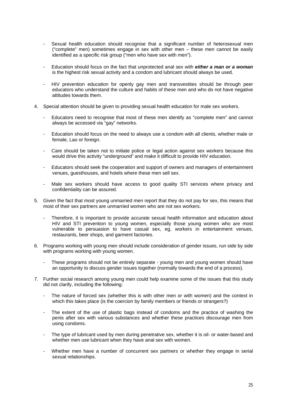- Sexual health education should recognise that a significant number of heterosexual men ("complete" men) sometimes engage in sex with other men – these men cannot be easily identified as a specific risk group ("men who have sex with men").
- Education should focus on the fact that unprotected anal sex with *either a man or a woman* is the highest risk sexual activity and a condom and lubricant should always be used.
- HIV prevention education for openly gay men and transvestites should be through peer educators who understand the culture and habits of these men and who do not have negative attitudes towards them.
- 4. Special attention should be given to providing sexual health education for male sex workers.
	- Educators need to recognise that most of these men identify as "complete men" and cannot always be accessed via "gay" networks.
	- Education should focus on the need to always use a condom with all clients, whether male or female, Lao or foreign.
	- Care should be taken not to initiate police or legal action against sex workers because this would drive this activity "underground" and make it difficult to provide HIV education.
	- Educators should seek the cooperation and support of owners and managers of entertainment venues, guesthouses, and hotels where these men sell sex.
	- Male sex workers should have access to good quality STI services where privacy and confidentiality can be assured.
- 5. Given the fact that most young unmarried men report that they do not pay for sex, this means that most of their sex partners are unmarried women who are not sex workers.
	- Therefore, it is important to provide accurate sexual health information and education about HIV and STI prevention to young women, especially those young women who are most vulnerable to persuasion to have casual sex, eg, workers in entertainment venues, restaurants, beer shops, and garment factories.
- 6. Programs working with young men should include consideration of gender issues, run side by side with programs working with young women.
	- These programs should not be entirely separate young men and young women should have an opportunity to discuss gender issues together (normally towards the end of a process).
- 7. Further social research among young men could help examine some of the issues that this study did not clarify, including the following:
	- The nature of forced sex (whether this is with other men or with women) and the context in which this takes place (is the coercion by family members or friends or strangers?)
	- The extent of the use of plastic bags instead of condoms and the practice of washing the penis after sex with various substances and whether these practices discourage men from using condoms.
	- The type of lubricant used by men during penetrative sex, whether it is oil- or water-based and whether men use lubricant when they have anal sex with women.
	- Whether men have a number of concurrent sex partners or whether they engage in serial sexual relationships.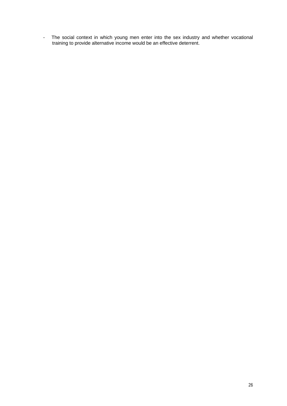- The social context in which young men enter into the sex industry and whether vocational training to provide alternative income would be an effective deterrent.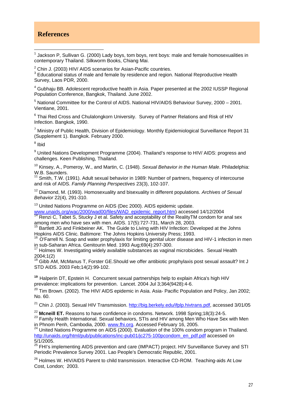### **References**

 $\overline{a}$  $<sup>1</sup>$  Jackson P, Sullivan G. (2000) Lady boys, tom boys, rent boys: male and female homosexualities in</sup> contemporary Thailand. Silkworm Books, Chiang Mai.

 $2$  Chin J. (2003) HIV/ AIDS scenarios for Asian-Pacific countries.

 $3$  Educational status of male and female by residence and region. National Reproductive Health Survey, Laos PDR, 2000.

<sup>4</sup> Gubhaju BB. Adolescent reproductive health in Asia. Paper presented at the 2002 IUSSP Regional Population Conference, Bangkok, Thailand. June 2002.

 $<sup>5</sup>$  National Committee for the Control of AIDS. National HIV/AIDS Behaviour Survey, 2000 – 2001.</sup> Vientiane, 2001.

 $6$  Thai Red Cross and Chulalongkorn University. Survey of Partner Relations and Risk of HIV Infection. Bangkok, 1990.

<sup>7</sup> Ministry of Public Health, Division of Epidemiology. Monthly Epidemiological Surveillance Report 31 (Supplement 1). Bangkok. February 2000.

<sup>8</sup> Ibid

<sup>9</sup> United Nations Development Programme (2004). Thailand's response to HIV/ AIDS: progress and challenges. Keen Publishing, Thailand.

10 Kinsey, A., Pomeroy, W., and Martin, C. (1948). *Sexual Behavior in the Human Male*. Philadelphia: W.B. Saunders.

<sup>11</sup> Smith, T.W. (1991). Adult sexual behavior in 1989: Number of partners, frequency of intercourse and risk of AIDS. *Family Planning Perspectives* 23(3), 102-107.

12 Diamond, M. (1993). Homosexuality and bisexuality in different populations. *Archives of Sexual Behavior* 22(4), 291-310.

<sup>13</sup> United Nations Programme on AIDS (Dec 2000). AIDS epidemic update.

www.unaids.org/wac/2000/wad00/files/WAD\_epidemic\_report.htm) accessed 14/12/2004 14 Renzi C, Tabet S, Stucky J et al. Safety and acceptability of the RealityTM condom for anal sex among men who have sex with men. AIDS. 17(5):727-731, March 28, 2003.

<sup>15</sup> Bartlett JG and Finkbeiner AK. The Guide to Living with HIV Infection: Developed at the Johns

Hopkins AIDS Clinic. Baltimore: The Johns Hopkins University Press; 1993.<br><sup>16</sup> O'Farrell N. Soap and water prophylaxis for limiting genital ulcer disease and HIV-1 infection in men in sub-Saharan Africa. Genitourin Med. 1993 Aug;69(4):297-300.

 $17$  Holmes W. Investigating widely available substances as vaginal microbicides. Sexual Health 2004;1(2)

 $18$  Gibb AM, McManus T, Forster GE. Should we offer antibiotic prophylaxis post sexual assault? Int J STD AIDS. 2003 Feb;14(2):99-102.

**<sup>19</sup>** Halperin DT, Epstein H. Concurrent sexual partnerships help to explain Africa's high HIV prevalence: implications for prevention. Lancet. 2004 Jul 3;364(9428):4-6.

<sup>20</sup> Tim Brown. (2002). The HIV/ AIDS epidemic in Asia. Asia- Pacific Population and Policy, Jan 2002; No. 60.

<sup>21</sup> Chin J. (2003). Sexual HIV Transmission. http://big.berkely.edu/ifplp.hivtrans.pdf, accessed 3/01/05

<sup>22</sup> Mcneill ET. Reasons to have confidence in condoms. Network. 1998 Spring;18(3):24-5.<br><sup>23</sup> Family Health International. Sexual behaviors, STIs and HIV among Men Who Have Sex with Men<br>in Phnom Penh, Cambodia, 2000. www.f

 $^{24}$  United Nations Programme on AIDS (2000). Evaluation of the 100% condom program in Thailand. http://unaids.org/html/pub/publications/inc-pub01/jc275-100pcondom\_en\_pdf.pdf accessed on 5/1/2005.

<sup>25</sup> FHI's implementing AIDS prevention and care (IMPACT) project. HIV Surveillance Survey and STI Periodic Prevalence Survey 2001. Lao People's Democratic Republic, 2001.

<sup>26</sup> Holmes W. HIV/AIDS Parent to child transmission. Interactive CD-ROM. Teaching-aids At Low Cost, London; 2003.